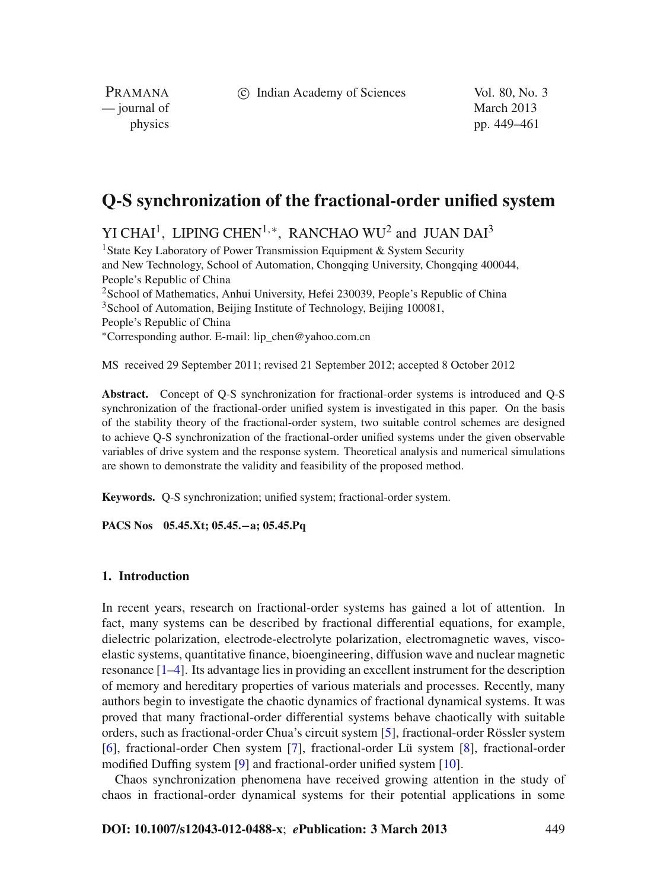c Indian Academy of Sciences Vol. 80, No. 3

PRAMANA — journal of March 2013

physics pp. 449–461

# **Q-S synchronization of the fractional-order unified system**

YI CHAI<sup>1</sup>, LIPING CHEN<sup>1,\*</sup>, RANCHAO WU<sup>2</sup> and JUAN DAI<sup>3</sup>

<sup>1</sup> State Key Laboratory of Power Transmission Equipment & System Security and New Technology, School of Automation, Chongqing University, Chongqing 400044, People's Republic of China <sup>2</sup> School of Mathematics, Anhui University, Hefei 230039, People's Republic of China <sup>3</sup>School of Automation, Beijing Institute of Technology, Beijing 100081, People's Republic of China <sup>∗</sup>Corresponding author. E-mail: lip\_chen@yahoo.com.cn

MS received 29 September 2011; revised 21 September 2012; accepted 8 October 2012

**Abstract.** Concept of Q-S synchronization for fractional-order systems is introduced and Q-S synchronization of the fractional-order unified system is investigated in this paper. On the basis of the stability theory of the fractional-order system, two suitable control schemes are designed to achieve Q-S synchronization of the fractional-order unified systems under the given observable variables of drive system and the response system. Theoretical analysis and numerical simulations are shown to demonstrate the validity and feasibility of the proposed method.

**Keywords.** Q-S synchronization; unified system; fractional-order system.

**PACS Nos 05.45.Xt; 05.45.−a; 05.45.Pq**

### **1. Introduction**

In recent years, research on fractional-order systems has gained a lot of attention. In fact, many systems can be described by fractional differential equations, for example, dielectric polarization, electrode-electrolyte polarization, electromagnetic waves, viscoelastic systems, quantitative finance, bioengineering, diffusion wave and nuclear magnetic resonance [\[1](#page-12-0)[–4\]](#page-12-1). Its advantage lies in providing an excellent instrument for the description of memory and hereditary properties of various materials and processes. Recently, many authors begin to investigate the chaotic dynamics of fractional dynamical systems. It was proved that many fractional-order differential systems behave chaotically with suitable orders, such as fractional-order Chua's circuit system [\[5\]](#page-12-2), fractional-order Rössler system [\[6](#page-12-3)], fractional-order Chen system [\[7\]](#page-12-4), fractional-order Lü system [\[8\]](#page-12-5), fractional-order modified Duffing system [\[9\]](#page-12-6) and fractional-order unified system [\[10\]](#page-12-7).

Chaos synchronization phenomena have received growing attention in the study of chaos in fractional-order dynamical systems for their potential applications in some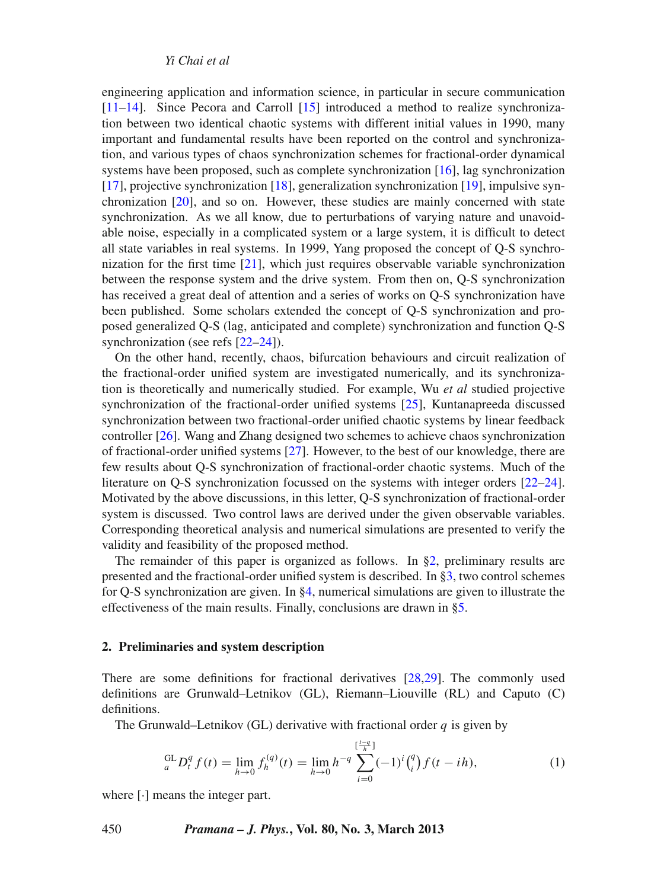*Yi Chai et al*

engineering application and information science, in particular in secure communication [\[11](#page-12-8)[–14](#page-12-9)]. Since Pecora and Carroll [\[15\]](#page-12-10) introduced a method to realize synchronization between two identical chaotic systems with different initial values in 1990, many important and fundamental results have been reported on the control and synchronization, and various types of chaos synchronization schemes for fractional-order dynamical systems have been proposed, such as complete synchronization [\[16\]](#page-12-11), lag synchronization [\[17](#page-12-12)], projective synchronization [\[18](#page-12-13)], generalization synchronization [\[19\]](#page-12-14), impulsive synchronization [\[20\]](#page-12-15), and so on. However, these studies are mainly concerned with state synchronization. As we all know, due to perturbations of varying nature and unavoidable noise, especially in a complicated system or a large system, it is difficult to detect all state variables in real systems. In 1999, Yang proposed the concept of Q-S synchronization for the first time [\[21](#page-12-16)], which just requires observable variable synchronization between the response system and the drive system. From then on, Q-S synchronization has received a great deal of attention and a series of works on Q-S synchronization have been published. Some scholars extended the concept of Q-S synchronization and proposed generalized Q-S (lag, anticipated and complete) synchronization and function Q-S synchronization (see refs [\[22](#page-12-17)[–24](#page-12-18)]).

On the other hand, recently, chaos, bifurcation behaviours and circuit realization of the fractional-order unified system are investigated numerically, and its synchronization is theoretically and numerically studied. For example, Wu *et al* studied projective synchronization of the fractional-order unified systems [\[25](#page-12-19)], Kuntanapreeda discussed synchronization between two fractional-order unified chaotic systems by linear feedback controller [\[26](#page-12-20)]. Wang and Zhang designed two schemes to achieve chaos synchronization of fractional-order unified systems [\[27\]](#page-12-21). However, to the best of our knowledge, there are few results about Q-S synchronization of fractional-order chaotic systems. Much of the literature on Q-S synchronization focussed on the systems with integer orders [\[22](#page-12-17)[–24](#page-12-18)]. Motivated by the above discussions, in this letter, Q-S synchronization of fractional-order system is discussed. Two control laws are derived under the given observable variables. Corresponding theoretical analysis and numerical simulations are presented to verify the validity and feasibility of the proposed method.

The remainder of this paper is organized as follows. In [§2,](#page-1-0) preliminary results are presented and the fractional-order unified system is described. In [§3,](#page-4-0) two control schemes for Q-S synchronization are given. In [§4,](#page-8-0) numerical simulations are given to illustrate the effectiveness of the main results. Finally, conclusions are drawn in [§5.](#page-11-0)

#### <span id="page-1-0"></span>**2. Preliminaries and system description**

There are some definitions for fractional derivatives [\[28](#page-12-22)[,29\]](#page-12-23). The commonly used definitions are Grunwald–Letnikov (GL), Riemann–Liouville (RL) and Caputo (C) definitions.

The Grunwald–Letnikov (GL) derivative with fractional order *q* is given by

$$
{}_{a}^{\text{GL}}D_{t}^{q} f(t) = \lim_{h \to 0} f_{h}^{(q)}(t) = \lim_{h \to 0} h^{-q} \sum_{i=0}^{\lfloor \frac{t-q}{h} \rfloor} (-1)^{i} {q \choose i} f(t - ih), \tag{1}
$$

where [·] means the integer part.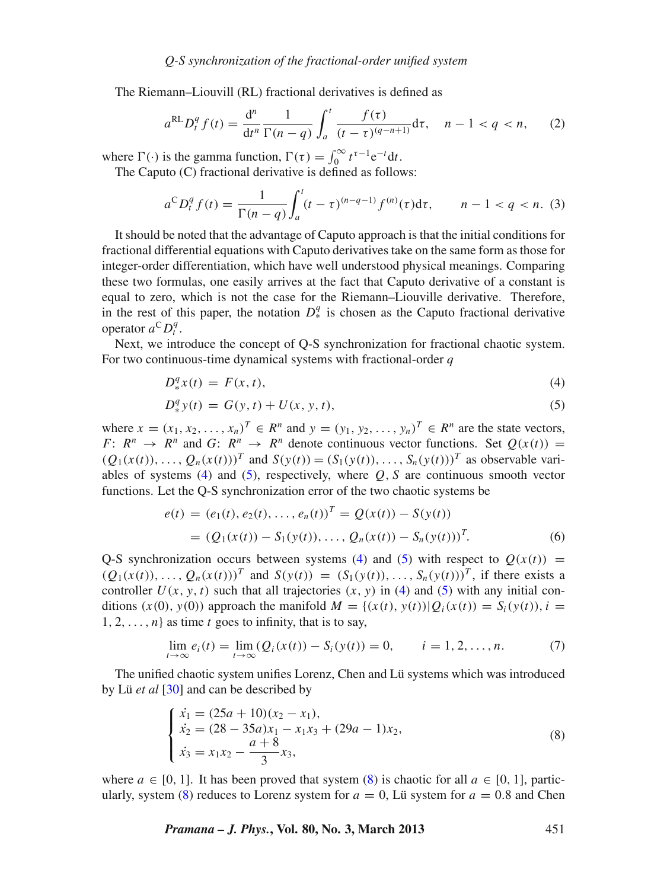The Riemann–Liouvill (RL) fractional derivatives is defined as

$$
a^{RL}D_t^q f(t) = \frac{d^n}{dt^n} \frac{1}{\Gamma(n-q)} \int_a^t \frac{f(\tau)}{(t-\tau)^{(q-n+1)}} d\tau, \quad n-1 < q < n,\tag{2}
$$

where  $\Gamma(\cdot)$  is the gamma function,  $\Gamma(\tau) = \int_0^\infty t^{\tau-1} e^{-t} dt$ .

The Caputo (C) fractional derivative is defined as follows:

$$
a^{C}D_{t}^{q} f(t) = \frac{1}{\Gamma(n-q)} \int_{a}^{t} (t-\tau)^{(n-q-1)} f^{(n)}(\tau) d\tau, \qquad n-1 < q < n. \tag{3}
$$

It should be noted that the advantage of Caputo approach is that the initial conditions for fractional differential equations with Caputo derivatives take on the same form as those for integer-order differentiation, which have well understood physical meanings. Comparing these two formulas, one easily arrives at the fact that Caputo derivative of a constant is equal to zero, which is not the case for the Riemann–Liouville derivative. Therefore, in the rest of this paper, the notation  $D^q_*$  is chosen as the Caputo fractional derivative operator  $a^C D_t^q$ .

Next, we introduce the concept of Q-S synchronization for fractional chaotic system. For two continuous-time dynamical systems with fractional-order *q*

<span id="page-2-0"></span>
$$
D_{\ast}^{q}x(t) = F(x, t), \tag{4}
$$

$$
D_{*}^{q}y(t) = G(y, t) + U(x, y, t),
$$
\n(5)

where  $x = (x_1, x_2, \dots, x_n)^T \in R^n$  and  $y = (y_1, y_2, \dots, y_n)^T \in R^n$  are the state vectors, *F*:  $R^n \rightarrow R^n$  and *G*:  $R^n \rightarrow R^n$  denote continuous vector functions. Set  $Q(x(t)) =$  $(Q_1(x(t)), \ldots, Q_n(x(t)))^T$  and  $S(y(t)) = (S_1(y(t)), \ldots, S_n(y(t)))^T$  as observable vari-ables of systems [\(4\)](#page-2-0) and [\(5\)](#page-2-0), respectively, where  $Q$ ,  $S$  are continuous smooth vector functions. Let the Q-S synchronization error of the two chaotic systems be

$$
e(t) = (e_1(t), e_2(t), \dots, e_n(t))^T = Q(x(t)) - S(y(t))
$$
  
=  $(Q_1(x(t)) - S_1(y(t)), \dots, Q_n(x(t)) - S_n(y(t)))^T$ . (6)

Q-S synchronization occurs between systems [\(4\)](#page-2-0) and [\(5\)](#page-2-0) with respect to  $O(x(t))$  =  $(Q_1(x(t)), \ldots, Q_n(x(t)))^T$  and  $S(y(t)) = (S_1(y(t)), \ldots, S_n(y(t)))^T$ , if there exists a controller  $U(x, y, t)$  such that all trajectories  $(x, y)$  in [\(4\)](#page-2-0) and [\(5\)](#page-2-0) with any initial conditions  $(x(0), y(0))$  approach the manifold  $M = \{(x(t), y(t)) | Q_i(x(t)) = S_i(y(t)), i =$  $1, 2, \ldots, n$  as time *t* goes to infinity, that is to say,

$$
\lim_{t \to \infty} e_i(t) = \lim_{t \to \infty} (Q_i(x(t)) - S_i(y(t)) = 0, \qquad i = 1, 2, ..., n.
$$
 (7)

The unified chaotic system unifies Lorenz, Chen and Lü systems which was introduced by Lü *et al* [\[30](#page-12-24)] and can be described by

<span id="page-2-1"></span>
$$
\begin{cases}\n\dot{x}_1 = (25a + 10)(x_2 - x_1), \\
\dot{x}_2 = (28 - 35a)x_1 - x_1x_3 + (29a - 1)x_2, \\
\dot{x}_3 = x_1x_2 - \frac{a + 8}{3}x_3,\n\end{cases}
$$
\n(8)

where  $a \in [0, 1]$ . It has been proved that system [\(8\)](#page-2-1) is chaotic for all  $a \in [0, 1]$ , partic-ularly, system [\(8\)](#page-2-1) reduces to Lorenz system for  $a = 0$ , Lü system for  $a = 0.8$  and Chen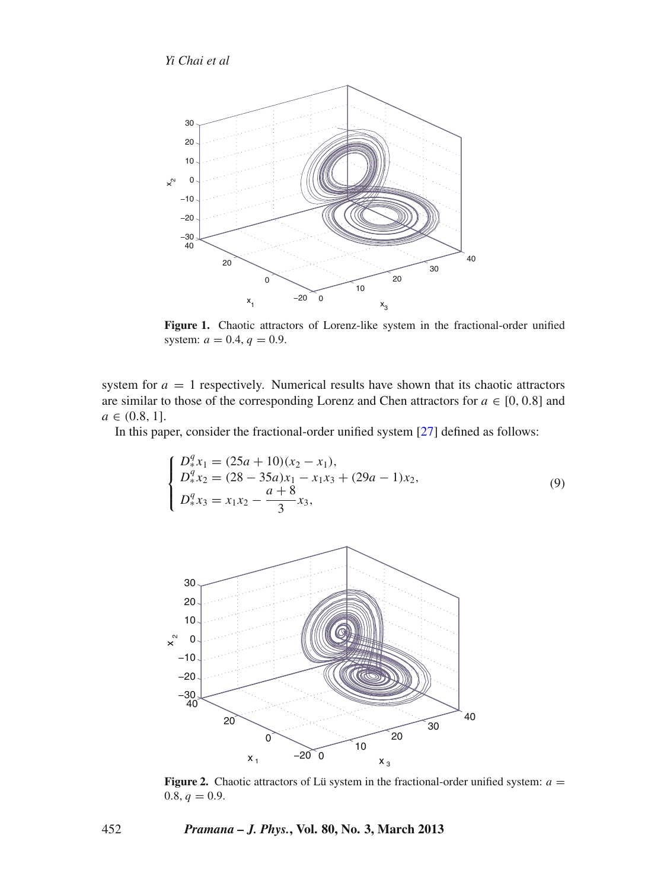<span id="page-3-0"></span>

**Figure 1.** Chaotic attractors of Lorenz-like system in the fractional-order unified system:  $a = 0.4, q = 0.9$ .

system for  $a = 1$  respectively. Numerical results have shown that its chaotic attractors are similar to those of the corresponding Lorenz and Chen attractors for  $a \in [0, 0.8]$  and  $a \in (0.8, 1].$ 

In this paper, consider the fractional-order unified system [\[27\]](#page-12-21) defined as follows:

<span id="page-3-2"></span>
$$
\begin{cases}\nD_{*}^{q} x_{1} = (25a + 10)(x_{2} - x_{1}), \\
D_{*}^{q} x_{2} = (28 - 35a)x_{1} - x_{1}x_{3} + (29a - 1)x_{2}, \\
D_{*}^{q} x_{3} = x_{1}x_{2} - \frac{a + 8}{3}x_{3},\n\end{cases}
$$
\n(9)

<span id="page-3-1"></span>

**Figure 2.** Chaotic attractors of Lü system in the fractional-order unified system:  $a =$  $0.8, q = 0.9.$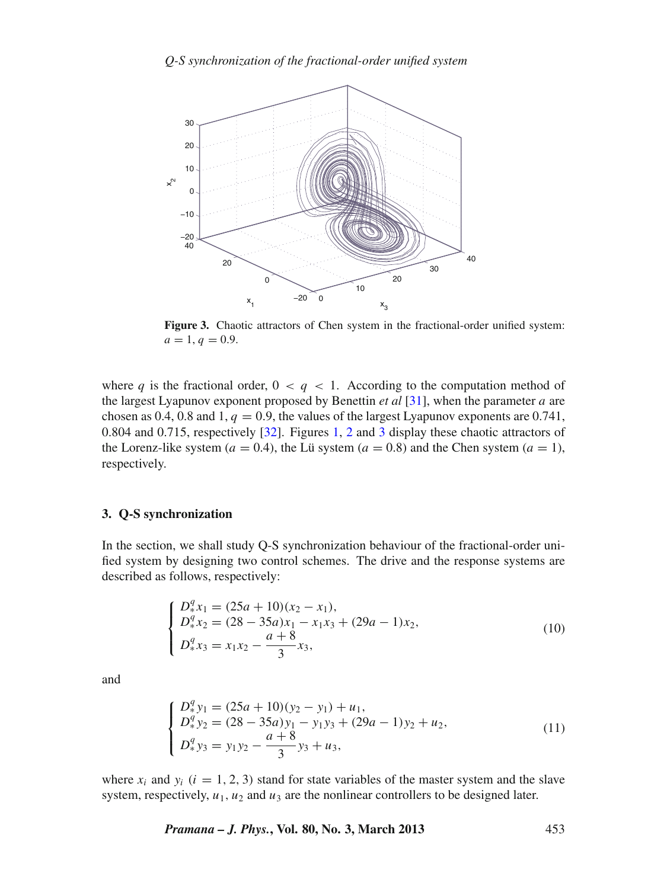<span id="page-4-1"></span>

**Figure 3.** Chaotic attractors of Chen system in the fractional-order unified system:  $a = 1, q = 0.9.$ 

where *q* is the fractional order,  $0 < q < 1$ . According to the computation method of the largest Lyapunov exponent proposed by Benettin *et al* [\[31](#page-12-25)], when the parameter *a* are chosen as 0.4, 0.8 and 1,  $q = 0.9$ , the values of the largest Lyapunov exponents are 0.741, 0.804 and 0.715, respectively [\[32\]](#page-12-26). Figures [1,](#page-3-0) [2](#page-3-1) and [3](#page-4-1) display these chaotic attractors of the Lorenz-like system ( $a = 0.4$ ), the Lü system ( $a = 0.8$ ) and the Chen system ( $a = 1$ ), respectively.

#### <span id="page-4-0"></span>**3. Q-S synchronization**

In the section, we shall study Q-S synchronization behaviour of the fractional-order unified system by designing two control schemes. The drive and the response systems are described as follows, respectively:

<span id="page-4-2"></span>
$$
\begin{cases}\nD_4^q x_1 = (25a + 10)(x_2 - x_1), \\
D_4^q x_2 = (28 - 35a)x_1 - x_1x_3 + (29a - 1)x_2, \\
D_4^q x_3 = x_1x_2 - \frac{a + 8}{3}x_3,\n\end{cases}
$$
\n(10)

and

<span id="page-4-3"></span>
$$
\begin{cases}\nD_4^q y_1 = (25a + 10)(y_2 - y_1) + u_1, \\
D_4^q y_2 = (28 - 35a)y_1 - y_1 y_3 + (29a - 1)y_2 + u_2, \\
D_4^q y_3 = y_1 y_2 - \frac{a + 8}{3}y_3 + u_3,\n\end{cases}
$$
\n(11)

where  $x_i$  and  $y_i$  ( $i = 1, 2, 3$ ) stand for state variables of the master system and the slave system, respectively,  $u_1$ ,  $u_2$  and  $u_3$  are the nonlinear controllers to be designed later.

*Pramana – J. Phys.***, Vol. 80, No. 3, March 2013** 453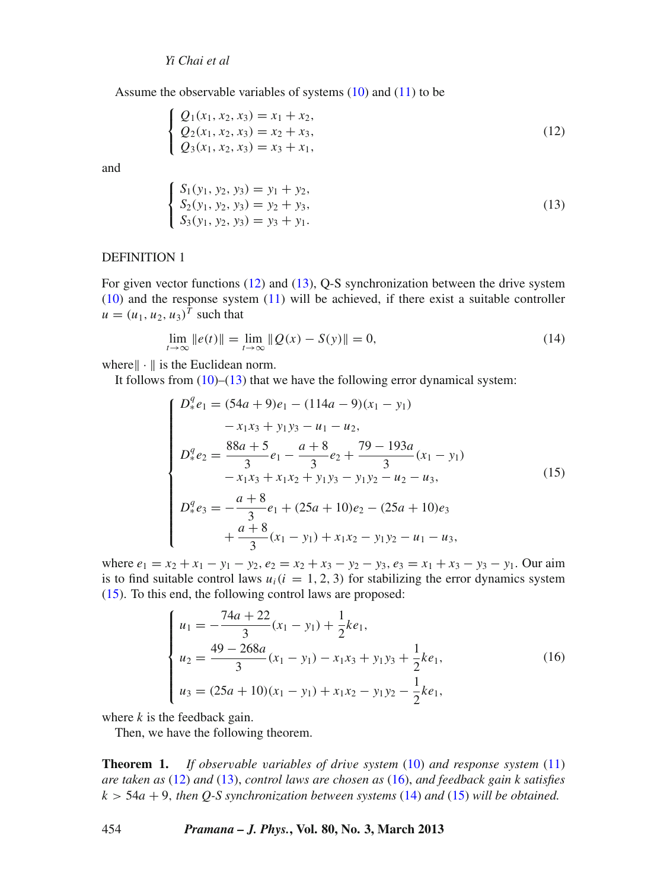*Yi Chai et al*

Assume the observable variables of systems [\(10\)](#page-4-2) and [\(11\)](#page-4-3) to be

<span id="page-5-0"></span>
$$
\begin{cases}\nQ_1(x_1, x_2, x_3) = x_1 + x_2, \\
Q_2(x_1, x_2, x_3) = x_2 + x_3, \\
Q_3(x_1, x_2, x_3) = x_3 + x_1,\n\end{cases}
$$
\n(12)

and

$$
S_1(y_1, y_2, y_3) = y_1 + y_2,S_2(y_1, y_2, y_3) = y_2 + y_3,S_3(y_1, y_2, y_3) = y_3 + y_1.
$$
\n(13)

#### DEFINITION 1

<span id="page-5-1"></span> $\sqrt{2}$ ⎨  $\mathbf{I}$ 

For given vector functions [\(12\)](#page-5-0) and [\(13\)](#page-5-1), Q-S synchronization between the drive system [\(10\)](#page-4-2) and the response system [\(11\)](#page-4-3) will be achieved, if there exist a suitable controller  $u = (u_1, u_2, u_3)^T$  such that

<span id="page-5-4"></span>
$$
\lim_{t \to \infty} \|e(t)\| = \lim_{t \to \infty} \|Q(x) - S(y)\| = 0,
$$
\n(14)

where  $\|\cdot\|$  is the Euclidean norm.

It follows from  $(10)$ – $(13)$  that we have the following error dynamical system:

<span id="page-5-2"></span>
$$
\begin{cases}\nD_*^q e_1 = (54a + 9)e_1 - (114a - 9)(x_1 - y_1) \\
-x_1x_3 + y_1y_3 - u_1 - u_2, \\
D_*^q e_2 = \frac{88a + 5}{3}e_1 - \frac{a + 8}{3}e_2 + \frac{79 - 193a}{3}(x_1 - y_1) \\
-x_1x_3 + x_1x_2 + y_1y_3 - y_1y_2 - u_2 - u_3, \\
D_*^q e_3 = -\frac{a + 8}{3}e_1 + (25a + 10)e_2 - (25a + 10)e_3 \\
+\frac{a + 8}{3}(x_1 - y_1) + x_1x_2 - y_1y_2 - u_1 - u_3,\n\end{cases}
$$
\n(15)

where  $e_1 = x_2 + x_1 - y_1 - y_2$ ,  $e_2 = x_2 + x_3 - y_2 - y_3$ ,  $e_3 = x_1 + x_3 - y_3 - y_1$ . Our aim is to find suitable control laws  $u_i(i = 1, 2, 3)$  for stabilizing the error dynamics system [\(15\)](#page-5-2). To this end, the following control laws are proposed:

<span id="page-5-3"></span>
$$
\begin{cases}\n u_1 = -\frac{74a + 22}{3}(x_1 - y_1) + \frac{1}{2}ke_1, \\
 u_2 = \frac{49 - 268a}{3}(x_1 - y_1) - x_1x_3 + y_1y_3 + \frac{1}{2}ke_1, \\
 u_3 = (25a + 10)(x_1 - y_1) + x_1x_2 - y_1y_2 - \frac{1}{2}ke_1,\n\end{cases}
$$
\n(16)

where *k* is the feedback gain.

Then, we have the following theorem.

**Theorem 1.** *If obser*v*able* v*ariables of dri*v*e system* [\(10\)](#page-4-2) *and response system* [\(11\)](#page-4-3) *are taken as* [\(12\)](#page-5-0) *and* [\(13\)](#page-5-1), *control laws are chosen as* [\(16\)](#page-5-3), *and feedback gain k satisfies k* > 54*a* + 9, *then Q-S synchronization between systems* [\(14\)](#page-5-4) *and* [\(15\)](#page-5-2) *will be obtained.*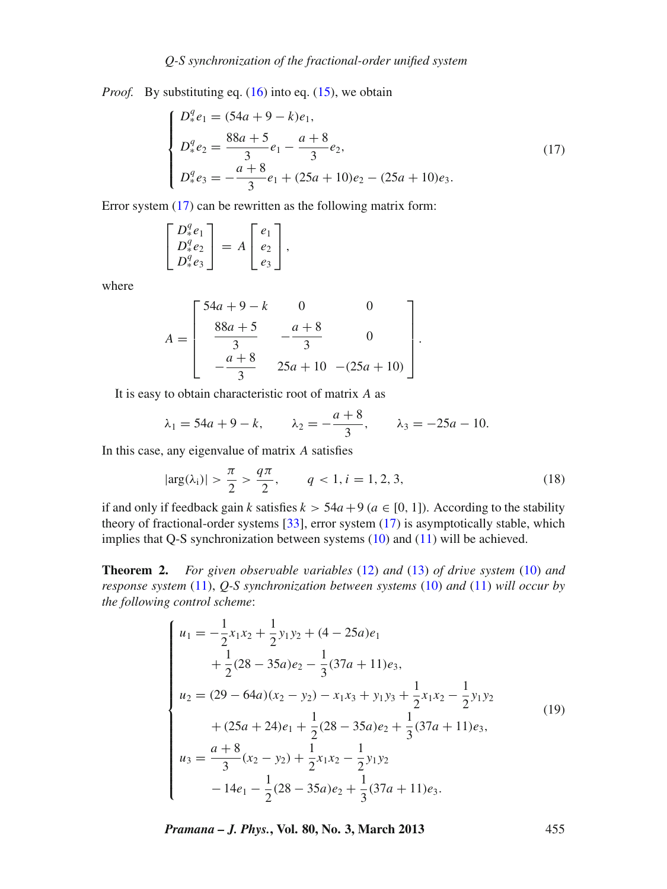*Proof.* By substituting eq. [\(16\)](#page-5-3) into eq. [\(15\)](#page-5-2), we obtain

<span id="page-6-0"></span>
$$
\begin{cases}\nD_*^q e_1 = (54a + 9 - k)e_1, \\
D_*^q e_2 = \frac{88a + 5}{3}e_1 - \frac{a + 8}{3}e_2, \\
D_*^q e_3 = -\frac{a + 8}{3}e_1 + (25a + 10)e_2 - (25a + 10)e_3.\n\end{cases}
$$
\n(17)

Error system [\(17\)](#page-6-0) can be rewritten as the following matrix form:

$$
\begin{bmatrix} D_*^q e_1 \\ D_*^q e_2 \\ D_*^q e_3 \end{bmatrix} = A \begin{bmatrix} e_1 \\ e_2 \\ e_3 \end{bmatrix},
$$

where

$$
A = \begin{bmatrix} 54a + 9 - k & 0 & 0 \\ 88a + 5 & -\frac{a + 8}{3} & 0 \\ -\frac{a + 8}{3} & 25a + 10 & -(25a + 10) \end{bmatrix}.
$$

It is easy to obtain characteristic root of matrix *A* as

$$
\lambda_1 = 54a + 9 - k
$$
,  $\lambda_2 = -\frac{a+8}{3}$ ,  $\lambda_3 = -25a - 10$ .

In this case, any eigenvalue of matrix *A* satisfies

$$
|\arg(\lambda_i)| > \frac{\pi}{2} > \frac{q\pi}{2}, \qquad q < 1, i = 1, 2, 3,
$$
 (18)

if and only if feedback gain *k* satisfies  $k > 54a + 9$  ( $a \in [0, 1]$ ). According to the stability theory of fractional-order systems [\[33](#page-12-27)], error system [\(17\)](#page-6-0) is asymptotically stable, which implies that Q-S synchronization between systems [\(10\)](#page-4-2) and [\(11\)](#page-4-3) will be achieved.

**Theorem 2.** *For given obser*v*able* v*ariables* [\(12\)](#page-5-0) *and* [\(13\)](#page-5-1) *of dri*v*e system* [\(10\)](#page-4-2) *and response system* [\(11\)](#page-4-3), *Q-S synchronization between systems* [\(10\)](#page-4-2) *and* [\(11\)](#page-4-3) *will occur by the following control scheme*:

<span id="page-6-1"></span>
$$
\begin{cases}\n u_1 = -\frac{1}{2}x_1x_2 + \frac{1}{2}y_1y_2 + (4 - 25a)e_1 \\
 + \frac{1}{2}(28 - 35a)e_2 - \frac{1}{3}(37a + 11)e_3, \\
 u_2 = (29 - 64a)(x_2 - y_2) - x_1x_3 + y_1y_3 + \frac{1}{2}x_1x_2 - \frac{1}{2}y_1y_2 \\
 + (25a + 24)e_1 + \frac{1}{2}(28 - 35a)e_2 + \frac{1}{3}(37a + 11)e_3, \\
 u_3 = \frac{a + 8}{3}(x_2 - y_2) + \frac{1}{2}x_1x_2 - \frac{1}{2}y_1y_2 \\
 - 14e_1 - \frac{1}{2}(28 - 35a)e_2 + \frac{1}{3}(37a + 11)e_3.\n\end{cases}
$$
\n(19)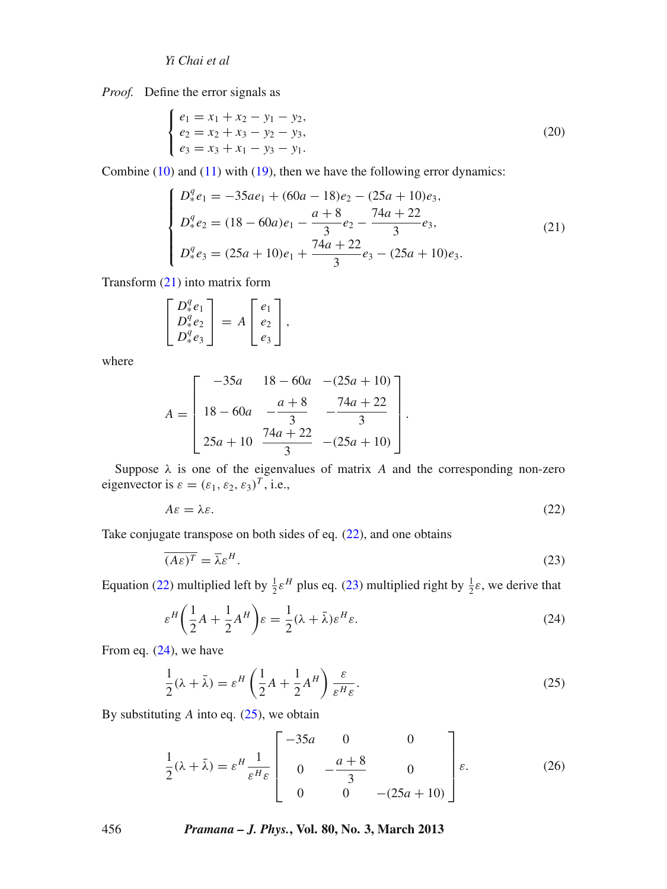*Yi Chai et al*

*Proof.* Define the error signals as

$$
\begin{cases}\ne_1 = x_1 + x_2 - y_1 - y_2, \\
e_2 = x_2 + x_3 - y_2 - y_3, \\
e_3 = x_3 + x_1 - y_3 - y_1.\n\end{cases}
$$
\n(20)

Combine  $(10)$  and  $(11)$  with  $(19)$ , then we have the following error dynamics:

<span id="page-7-0"></span>
$$
\begin{cases}\nD_*^q e_1 = -35ae_1 + (60a - 18)e_2 - (25a + 10)e_3, \\
D_*^q e_2 = (18 - 60a)e_1 - \frac{a + 8}{3}e_2 - \frac{74a + 22}{3}e_3, \\
D_*^q e_3 = (25a + 10)e_1 + \frac{74a + 22}{3}e_3 - (25a + 10)e_3.\n\end{cases}
$$
\n(21)

Transform [\(21\)](#page-7-0) into matrix form

$$
\begin{bmatrix} D_*^q e_1 \\ D_*^q e_2 \\ D_*^q e_3 \end{bmatrix} = A \begin{bmatrix} e_1 \\ e_2 \\ e_3 \end{bmatrix},
$$

where

$$
A = \begin{bmatrix} -35a & 18 - 60a & -(25a + 10) \\ 18 - 60a & -\frac{a + 8}{3} & -\frac{74a + 22}{3} \\ 25a + 10 & \frac{74a + 22}{3} & -(25a + 10) \end{bmatrix}.
$$

Suppose  $\lambda$  is one of the eigenvalues of matrix *A* and the corresponding non-zero eigenvector is  $\varepsilon = (\varepsilon_1, \varepsilon_2, \varepsilon_3)^T$ , i.e.,

<span id="page-7-1"></span>
$$
A\varepsilon = \lambda \varepsilon. \tag{22}
$$

Take conjugate transpose on both sides of eq.  $(22)$ , and one obtains

<span id="page-7-2"></span>
$$
\overline{(A\varepsilon)^T} = \overline{\lambda}\varepsilon^H. \tag{23}
$$

Equation [\(22\)](#page-7-1) multiplied left by  $\frac{1}{2} \varepsilon^H$  plus eq. [\(23\)](#page-7-2) multiplied right by  $\frac{1}{2} \varepsilon$ , we derive that

<span id="page-7-3"></span>
$$
\varepsilon^H \left(\frac{1}{2}A + \frac{1}{2}A^H\right)\varepsilon = \frac{1}{2}(\lambda + \bar{\lambda})\varepsilon^H \varepsilon. \tag{24}
$$

From eq. [\(24\)](#page-7-3), we have

<span id="page-7-4"></span>
$$
\frac{1}{2}(\lambda + \bar{\lambda}) = \varepsilon^H \left(\frac{1}{2}A + \frac{1}{2}A^H\right) \frac{\varepsilon}{\varepsilon^H \varepsilon}.
$$
\n(25)

By substituting *A* into eq. [\(25\)](#page-7-4), we obtain

$$
\frac{1}{2}(\lambda + \bar{\lambda}) = \varepsilon^H \frac{1}{\varepsilon^H \varepsilon} \begin{bmatrix} -35a & 0 & 0 \\ 0 & -\frac{a+8}{3} & 0 \\ 0 & 0 & -(25a+10) \end{bmatrix} \varepsilon.
$$
 (26)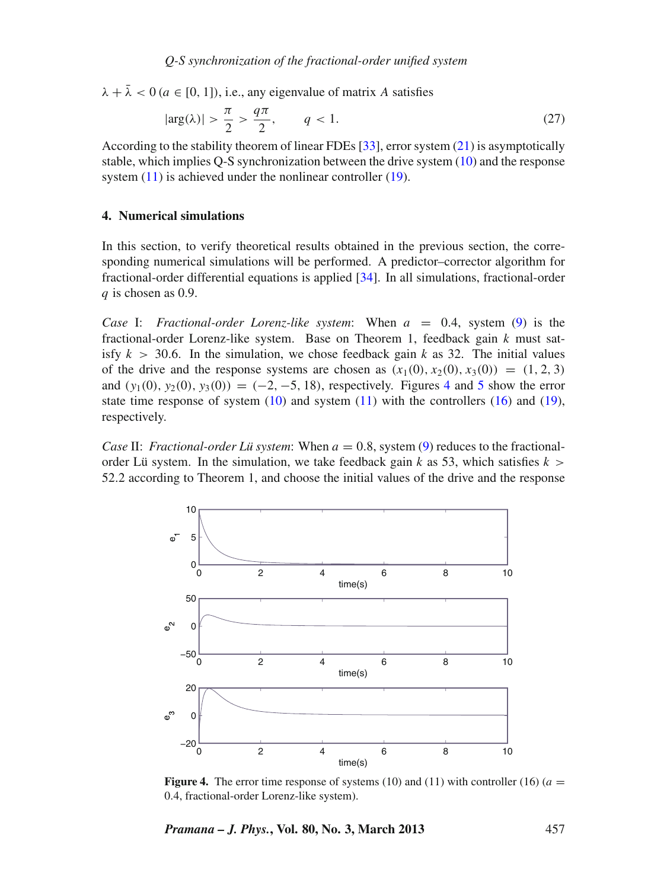$\lambda + \overline{\lambda} < 0$  ( $a \in [0, 1]$ ), i.e., any eigenvalue of matrix *A* satisfies

$$
|\arg(\lambda)| > \frac{\pi}{2} > \frac{q\pi}{2}, \qquad q < 1. \tag{27}
$$

According to the stability theorem of linear FDEs [\[33\]](#page-12-27), error system [\(21\)](#page-7-0) is asymptotically stable, which implies Q-S synchronization between the drive system [\(10\)](#page-4-2) and the response system [\(11\)](#page-4-3) is achieved under the nonlinear controller [\(19\)](#page-6-1).

#### <span id="page-8-0"></span>**4. Numerical simulations**

In this section, to verify theoretical results obtained in the previous section, the corresponding numerical simulations will be performed. A predictor–corrector algorithm for fractional-order differential equations is applied [\[34](#page-12-28)]. In all simulations, fractional-order *q* is chosen as 0.9.

*Case* I: *Fractional-order Lorenz-like system*: When *a* = 0.4, system [\(9\)](#page-3-2) is the fractional-order Lorenz-like system. Base on Theorem 1, feedback gain *k* must satisfy  $k > 30.6$ . In the simulation, we chose feedback gain k as 32. The initial values of the drive and the response systems are chosen as  $(x_1(0), x_2(0), x_3(0)) = (1, 2, 3)$ and  $(y_1(0), y_2(0), y_3(0)) = (-2, -5, 18)$  $(y_1(0), y_2(0), y_3(0)) = (-2, -5, 18)$  $(y_1(0), y_2(0), y_3(0)) = (-2, -5, 18)$ , respectively. Figures [4](#page-8-1) and 5 show the error state time response of system  $(10)$  and system  $(11)$  with the controllers  $(16)$  and  $(19)$ , respectively.

*Case* II: *Fractional-order Lü system*: When  $a = 0.8$ , system [\(9\)](#page-3-2) reduces to the fractionalorder Lü system. In the simulation, we take feedback gain *k* as 53, which satisfies  $k >$ 52.2 according to Theorem 1, and choose the initial values of the drive and the response

<span id="page-8-1"></span>

**Figure 4.** The error time response of systems (10) and (11) with controller (16) ( $a =$ 0.4, fractional-order Lorenz-like system).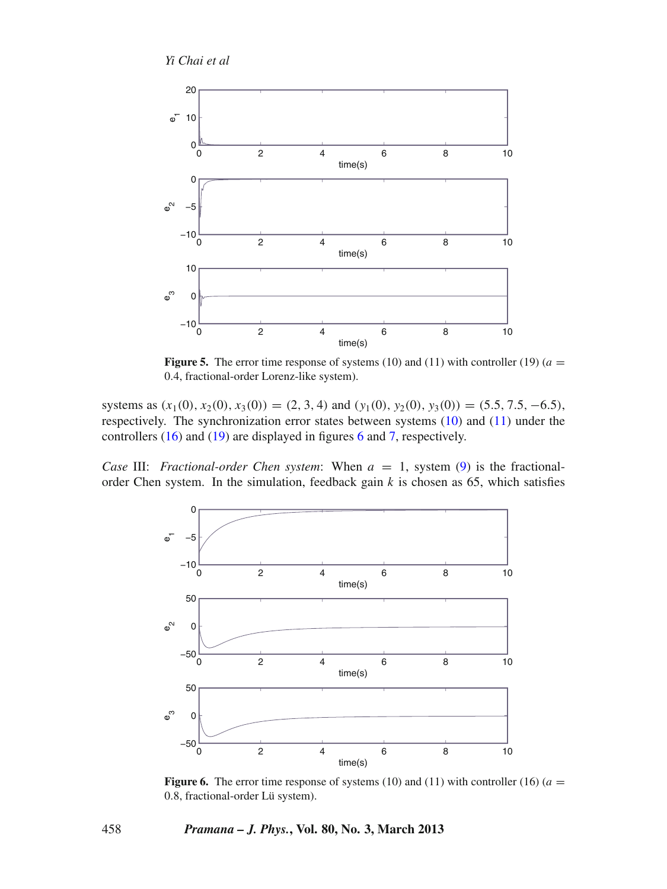<span id="page-9-0"></span>

**Figure 5.** The error time response of systems (10) and (11) with controller (19) ( $a =$ 0.4, fractional-order Lorenz-like system).

systems as  $(x_1(0), x_2(0), x_3(0)) = (2, 3, 4)$  and  $(y_1(0), y_2(0), y_3(0)) = (5.5, 7.5, -6.5)$ , respectively. The synchronization error states between systems [\(10\)](#page-4-2) and [\(11\)](#page-4-3) under the controllers [\(16\)](#page-5-3) and [\(19\)](#page-6-1) are displayed in figures [6](#page-9-1) and [7,](#page-10-0) respectively.

<span id="page-9-1"></span>*Case* III: *Fractional-order Chen system*: When  $a = 1$ , system [\(9\)](#page-3-2) is the fractionalorder Chen system. In the simulation, feedback gain  $k$  is chosen as 65, which satisfies



**Figure 6.** The error time response of systems (10) and (11) with controller (16) ( $a =$ 0.8, fractional-order Lü system).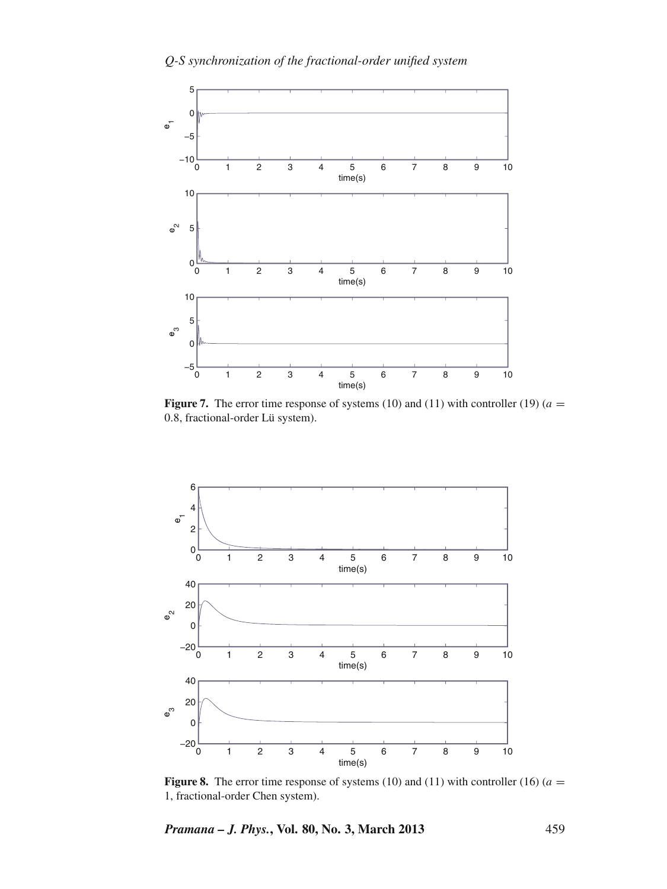<span id="page-10-0"></span>

**Figure 7.** The error time response of systems (10) and (11) with controller (19) ( $a =$ .8, fractional-order Lü system).

<span id="page-10-1"></span>

**Figure 8.** The error time response of systems (10) and (11) with controller (16) ( $a =$ 1, fractional-order Chen system).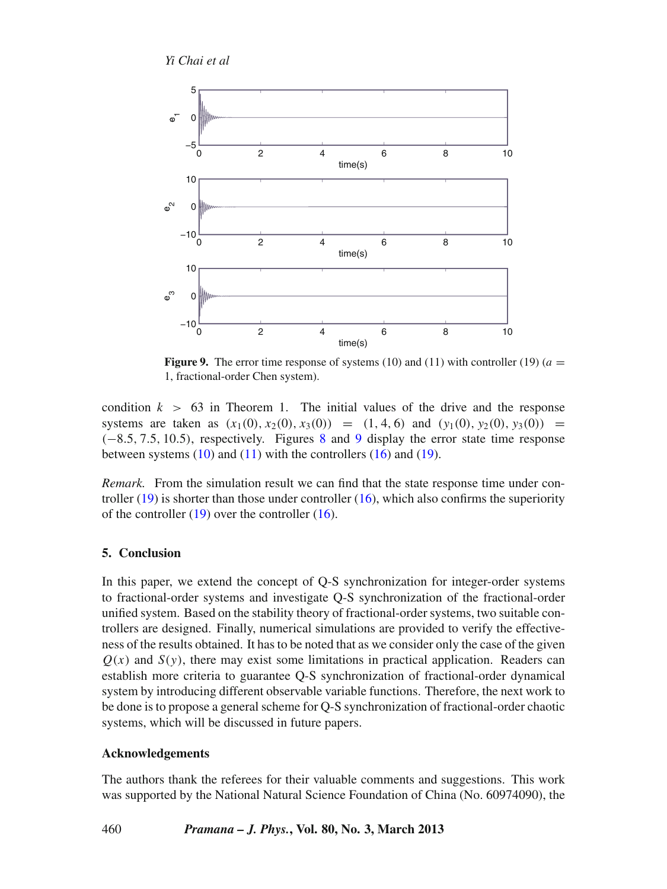*Yi Chai et al*

<span id="page-11-1"></span>

**Figure 9.** The error time response of systems (10) and (11) with controller (19) ( $a =$ 1, fractional-order Chen system).

condition  $k > 63$  in Theorem 1. The initial values of the drive and the response systems are taken as  $(x_1(0), x_2(0), x_3(0)) = (1, 4, 6)$  and  $(y_1(0), y_2(0), y_3(0)) =$ (−8.5, 7.5, 10.5), respectively. Figures [8](#page-10-1) and [9](#page-11-1) display the error state time response between systems  $(10)$  and  $(11)$  with the controllers  $(16)$  and  $(19)$ .

*Remark.* From the simulation result we can find that the state response time under controller  $(19)$  is shorter than those under controller  $(16)$ , which also confirms the superiority of the controller  $(19)$  over the controller  $(16)$ .

## <span id="page-11-0"></span>**5. Conclusion**

In this paper, we extend the concept of Q-S synchronization for integer-order systems to fractional-order systems and investigate Q-S synchronization of the fractional-order unified system. Based on the stability theory of fractional-order systems, two suitable controllers are designed. Finally, numerical simulations are provided to verify the effectiveness of the results obtained. It has to be noted that as we consider only the case of the given  $Q(x)$  and  $S(y)$ , there may exist some limitations in practical application. Readers can establish more criteria to guarantee Q-S synchronization of fractional-order dynamical system by introducing different observable variable functions. Therefore, the next work to be done is to propose a general scheme for Q-S synchronization of fractional-order chaotic systems, which will be discussed in future papers.

### **Acknowledgements**

The authors thank the referees for their valuable comments and suggestions. This work was supported by the National Natural Science Foundation of China (No. 60974090), the